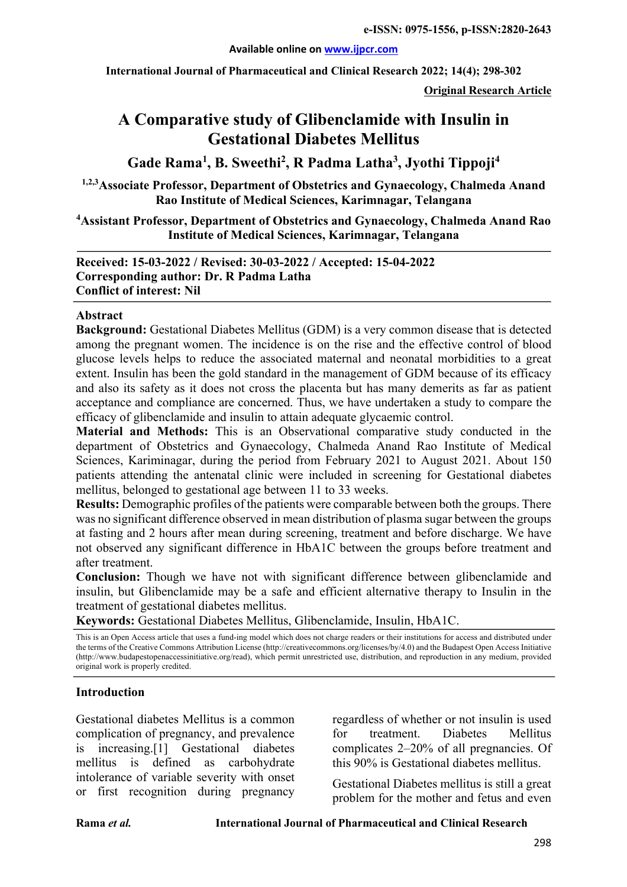#### **Available online on www.ijpcr.com**

**International Journal of Pharmaceutical and Clinical Research 2022; 14(4); 298-302**

**Original Research Article**

# **A Comparative study of Glibenclamide with Insulin in Gestational Diabetes Mellitus**

**Gade Rama1 , B. Sweethi2 , R Padma Latha3 , Jyothi Tippoji4**

**1,2,3Associate Professor, Department of Obstetrics and Gynaecology, Chalmeda Anand Rao Institute of Medical Sciences, Karimnagar, Telangana**

**4 Assistant Professor, Department of Obstetrics and Gynaecology, Chalmeda Anand Rao Institute of Medical Sciences, Karimnagar, Telangana**

**Received: 15-03-2022 / Revised: 30-03-2022 / Accepted: 15-04-2022 Corresponding author: Dr. R Padma Latha Conflict of interest: Nil**

#### **Abstract**

**Background:** Gestational Diabetes Mellitus (GDM) is a very common disease that is detected among the pregnant women. The incidence is on the rise and the effective control of blood glucose levels helps to reduce the associated maternal and neonatal morbidities to a great extent. Insulin has been the gold standard in the management of GDM because of its efficacy and also its safety as it does not cross the placenta but has many demerits as far as patient acceptance and compliance are concerned. Thus, we have undertaken a study to compare the efficacy of glibenclamide and insulin to attain adequate glycaemic control.

**Material and Methods:** This is an Observational comparative study conducted in the department of Obstetrics and Gynaecology, Chalmeda Anand Rao Institute of Medical Sciences, Kariminagar, during the period from February 2021 to August 2021. About 150 patients attending the antenatal clinic were included in screening for Gestational diabetes mellitus, belonged to gestational age between 11 to 33 weeks.

**Results:** Demographic profiles of the patients were comparable between both the groups. There was no significant difference observed in mean distribution of plasma sugar between the groups at fasting and 2 hours after mean during screening, treatment and before discharge. We have not observed any significant difference in HbA1C between the groups before treatment and after treatment.

**Conclusion:** Though we have not with significant difference between glibenclamide and insulin, but Glibenclamide may be a safe and efficient alternative therapy to Insulin in the treatment of gestational diabetes mellitus.

**Keywords:** Gestational Diabetes Mellitus, Glibenclamide, Insulin, HbA1C.

This is an Open Access article that uses a fund-ing model which does not charge readers or their institutions for access and distributed under the terms of the Creative Commons Attribution License (http://creativecommons.org/licenses/by/4.0) and the Budapest Open Access Initiative (http://www.budapestopenaccessinitiative.org/read), which permit unrestricted use, distribution, and reproduction in any medium, provided original work is properly credited.

#### **Introduction**

Gestational diabetes Mellitus is a common complication of pregnancy, and prevalence is increasing.[1] Gestational diabetes mellitus is defined as carbohydrate intolerance of variable severity with onset or first recognition during pregnancy

regardless of whether or not insulin is used for treatment. Diabetes Mellitus complicates 2–20% of all pregnancies. Of this 90% is Gestational diabetes mellitus.

Gestational Diabetes mellitus is still a great problem for the mother and fetus and even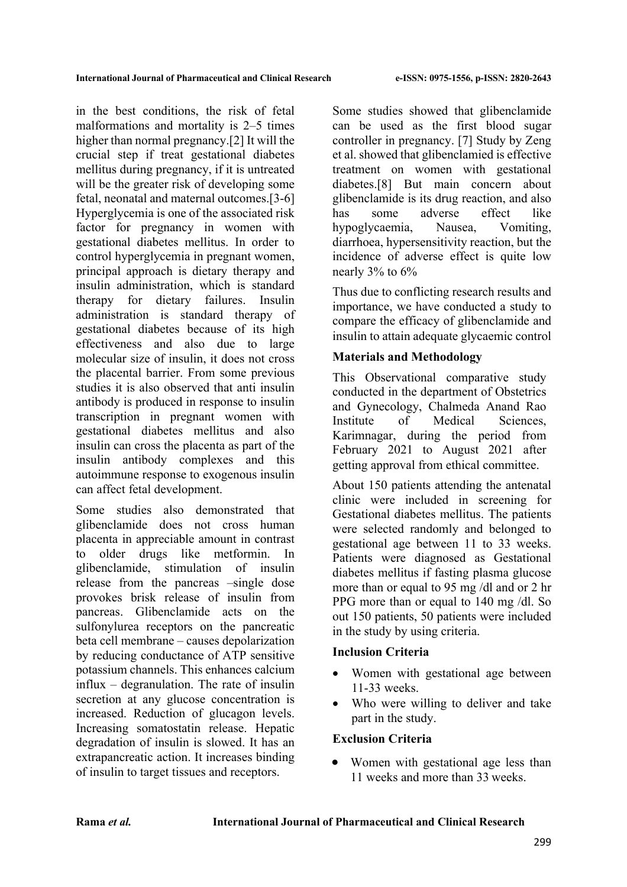in the best conditions, the risk of fetal malformations and mortality is 2–5 times higher than normal pregnancy.[2] It will the crucial step if treat gestational diabetes mellitus during pregnancy, if it is untreated will be the greater risk of developing some fetal, neonatal and maternal outcomes.[3-6] Hyperglycemia is one of the associated risk factor for pregnancy in women with gestational diabetes mellitus. In order to control hyperglycemia in pregnant women, principal approach is dietary therapy and insulin administration, which is standard therapy for dietary failures. Insulin administration is standard therapy of gestational diabetes because of its high effectiveness and also due to large molecular size of insulin, it does not cross the placental barrier. From some previous studies it is also observed that anti insulin antibody is produced in response to insulin transcription in pregnant women with gestational diabetes mellitus and also insulin can cross the placenta as part of the insulin antibody complexes and this autoimmune response to exogenous insulin can affect fetal development.

Some studies also demonstrated that glibenclamide does not cross human placenta in appreciable amount in contrast to older drugs like metformin. In glibenclamide, stimulation of insulin release from the pancreas –single dose provokes brisk release of insulin from pancreas. Glibenclamide acts on the sulfonylurea receptors on the pancreatic beta cell membrane – causes depolarization by reducing conductance of ATP sensitive potassium channels. This enhances calcium influx – degranulation. The rate of insulin secretion at any glucose concentration is increased. Reduction of glucagon levels. Increasing somatostatin release. Hepatic degradation of insulin is slowed. It has an extrapancreatic action. It increases binding of insulin to target tissues and receptors.

Some studies showed that glibenclamide can be used as the first blood sugar controller in pregnancy. [7] Study by Zeng et al. showed that glibenclamied is effective treatment on women with gestational diabetes.[8] But main concern about glibenclamide is its drug reaction, and also has some adverse effect like hypoglycaemia, Nausea, Vomiting, diarrhoea, hypersensitivity reaction, but the incidence of adverse effect is quite low nearly 3% to 6%

Thus due to conflicting research results and importance, we have conducted a study to compare the efficacy of glibenclamide and insulin to attain adequate glycaemic control

# **Materials and Methodology**

This Observational comparative study conducted in the department of Obstetrics and Gynecology, Chalmeda Anand Rao Institute of Medical Sciences, Karimnagar, during the period from February 2021 to August 2021 after getting approval from ethical committee.

About 150 patients attending the antenatal clinic were included in screening for Gestational diabetes mellitus. The patients were selected randomly and belonged to gestational age between 11 to 33 weeks. Patients were diagnosed as Gestational diabetes mellitus if fasting plasma glucose more than or equal to 95 mg /dl and or 2 hr PPG more than or equal to 140 mg /dl. So out 150 patients, 50 patients were included in the study by using criteria.

## **Inclusion Criteria**

- Women with gestational age between 11-33 weeks.
- Who were willing to deliver and take part in the study.

## **Exclusion Criteria**

Women with gestational age less than 11 weeks and more than 33 weeks.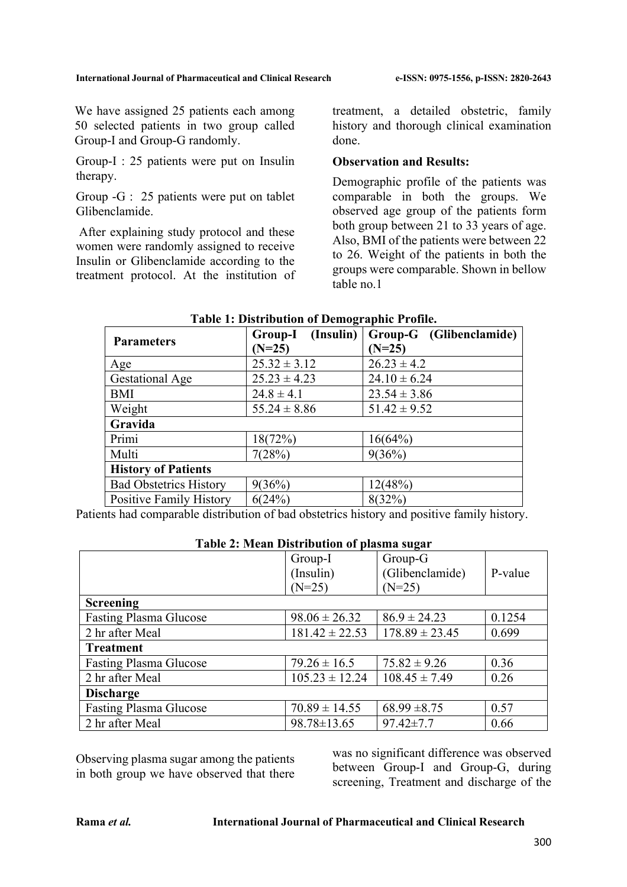We have assigned 25 patients each among 50 selected patients in two group called Group-I and Group-G randomly.

Group-I : 25 patients were put on Insulin therapy.

Group -G : 25 patients were put on tablet Glibenclamide.

After explaining study protocol and these women were randomly assigned to receive Insulin or Glibenclamide according to the treatment protocol. At the institution of treatment, a detailed obstetric, family history and thorough clinical examination done.

## **Observation and Results:**

Demographic profile of the patients was comparable in both the groups. We observed age group of the patients form both group between 21 to 33 years of age. Also, BMI of the patients were between 22 to 26. Weight of the patients in both the groups were comparable. Shown in bellow table no.1

| <b>Parameters</b>             | (Insulin)<br>Group-I<br>$(N=25)$ | Group-G (Glibenclamide)<br>$(N=25)$ |  |  |
|-------------------------------|----------------------------------|-------------------------------------|--|--|
| Age                           | $25.32 \pm 3.12$                 | $26.23 \pm 4.2$                     |  |  |
| <b>Gestational Age</b>        | $25.23 \pm 4.23$                 | $24.10 \pm 6.24$                    |  |  |
| <b>BMI</b>                    | $24.8 \pm 4.1$                   | $23.54 \pm 3.86$                    |  |  |
| Weight                        | $55.24 \pm 8.86$                 | $51.42 \pm 9.52$                    |  |  |
| Gravida                       |                                  |                                     |  |  |
| Primi                         | 18(72%)                          | 16(64%)                             |  |  |
| Multi                         | 7(28%)                           | 9(36%)                              |  |  |
| <b>History of Patients</b>    |                                  |                                     |  |  |
| <b>Bad Obstetrics History</b> | 9(36%)                           | 12(48%)                             |  |  |
| Positive Family History       | 6(24%)                           | 8(32%)                              |  |  |

### **Table 1: Distribution of Demographic Profile.**

Patients had comparable distribution of bad obstetrics history and positive family history.

|                               | Group-I            | Group-G            |         |  |  |  |  |  |
|-------------------------------|--------------------|--------------------|---------|--|--|--|--|--|
|                               | (Insulin)          | (Glibenclamide)    | P-value |  |  |  |  |  |
|                               | $(N=25)$           | $(N=25)$           |         |  |  |  |  |  |
| <b>Screening</b>              |                    |                    |         |  |  |  |  |  |
| <b>Fasting Plasma Glucose</b> | $98.06 \pm 26.32$  | $86.9 \pm 24.23$   | 0.1254  |  |  |  |  |  |
| 2 hr after Meal               | $181.42 \pm 22.53$ | $178.89 \pm 23.45$ | 0.699   |  |  |  |  |  |
| <b>Treatment</b>              |                    |                    |         |  |  |  |  |  |
| <b>Fasting Plasma Glucose</b> | $79.26 \pm 16.5$   | $75.82 \pm 9.26$   | 0.36    |  |  |  |  |  |
| 2 hr after Meal               | $105.23 \pm 12.24$ | $108.45 \pm 7.49$  | 0.26    |  |  |  |  |  |
| <b>Discharge</b>              |                    |                    |         |  |  |  |  |  |
| <b>Fasting Plasma Glucose</b> | $70.89 \pm 14.55$  | $68.99 \pm 8.75$   | 0.57    |  |  |  |  |  |
| 2 hr after Meal               | $98.78 \pm 13.65$  | $97.42 \pm 7.7$    | 0.66    |  |  |  |  |  |

## **Table 2: Mean Distribution of plasma sugar**

Observing plasma sugar among the patients in both group we have observed that there was no significant difference was observed between Group-I and Group-G, during screening, Treatment and discharge of the

#### **Rama** *et al.* **International Journal of Pharmaceutical and Clinical Research**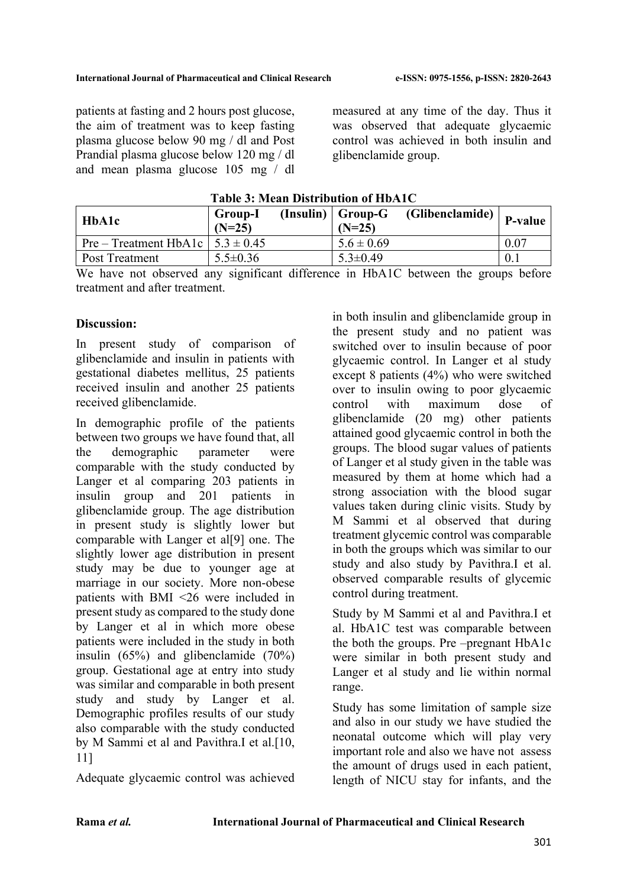patients at fasting and 2 hours post glucose, the aim of treatment was to keep fasting plasma glucose below 90 mg / dl and Post Prandial plasma glucose below 120 mg / dl and mean plasma glucose 105 mg / dl

measured at any time of the day. Thus it was observed that adequate glycaemic control was achieved in both insulin and glibenclamide group.

| $1$ avit $9.1$ bittail Distribution of Ho $A$ IV |                     |  |                                   |                               |      |  |  |
|--------------------------------------------------|---------------------|--|-----------------------------------|-------------------------------|------|--|--|
| <b>HbA1c</b>                                     | Group-I<br>$(N=25)$ |  | $(Insulin)   Group-G$<br>$(N=25)$ | $J$ (Glibenclamide)   P-value |      |  |  |
| Pre – Treatment HbA1c $\vert 5.3 \pm 0.45 \vert$ |                     |  | $5.6 \pm 0.69$                    |                               | 0.07 |  |  |
| Post Treatment                                   | $5.5 \pm 0.36$      |  | $5.3 \pm 0.49$                    |                               | 0.1  |  |  |

**Table 3: Mean Distribution of HbA1C**

We have not observed any significant difference in HbA1C between the groups before treatment and after treatment.

## **Discussion:**

In present study of comparison of glibenclamide and insulin in patients with gestational diabetes mellitus, 25 patients received insulin and another 25 patients received glibenclamide.

In demographic profile of the patients between two groups we have found that, all the demographic parameter were comparable with the study conducted by Langer et al comparing 203 patients in insulin group and 201 patients in glibenclamide group. The age distribution in present study is slightly lower but comparable with Langer et al[9] one. The slightly lower age distribution in present study may be due to younger age at marriage in our society. More non-obese patients with BMI <26 were included in present study as compared to the study done by Langer et al in which more obese patients were included in the study in both insulin (65%) and glibenclamide (70%) group. Gestational age at entry into study was similar and comparable in both present study and study by Langer et al. Demographic profiles results of our study also comparable with the study conducted by M Sammi et al and Pavithra.I et al.[10, 11]

Adequate glycaemic control was achieved

in both insulin and glibenclamide group in the present study and no patient was switched over to insulin because of poor glycaemic control. In Langer et al study except 8 patients (4%) who were switched over to insulin owing to poor glycaemic control with maximum dose of glibenclamide (20 mg) other patients attained good glycaemic control in both the groups. The blood sugar values of patients of Langer et al study given in the table was measured by them at home which had a strong association with the blood sugar values taken during clinic visits. Study by M Sammi et al observed that during treatment glycemic control was comparable in both the groups which was similar to our study and also study by Pavithra.I et al. observed comparable results of glycemic control during treatment.

Study by M Sammi et al and Pavithra.I et al. HbA1C test was comparable between the both the groups. Pre –pregnant HbA1c were similar in both present study and Langer et al study and lie within normal range.

Study has some limitation of sample size and also in our study we have studied the neonatal outcome which will play very important role and also we have not assess the amount of drugs used in each patient, length of NICU stay for infants, and the